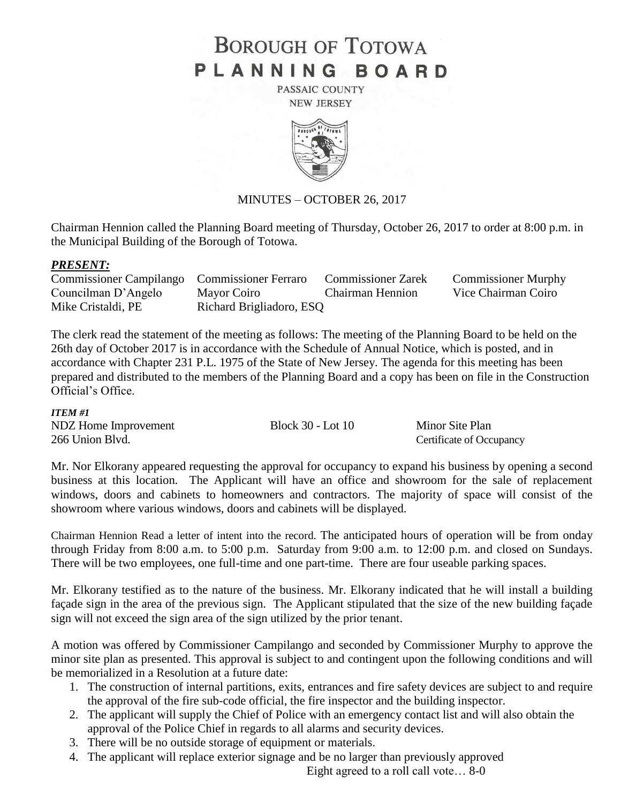# **BOROUGH OF TOTOWA** PLANNING BOARD

PASSAIC COUNTY **NEW JERSEY** 



## MINUTES – OCTOBER 26, 2017

Chairman Hennion called the Planning Board meeting of Thursday, October 26, 2017 to order at 8:00 p.m. in the Municipal Building of the Borough of Totowa.

#### *PRESENT:*

| Commissioner Campilango Commissioner Ferraro |                          | <b>Commissioner Zarek</b> | <b>Commissioner Murphy</b> |
|----------------------------------------------|--------------------------|---------------------------|----------------------------|
| Councilman D'Angelo                          | Mayor Coiro              | <b>Chairman Hennion</b>   | Vice Chairman Coiro        |
| Mike Cristaldi, PE                           | Richard Brigliadoro, ESQ |                           |                            |

The clerk read the statement of the meeting as follows: The meeting of the Planning Board to be held on the 26th day of October 2017 is in accordance with the Schedule of Annual Notice, which is posted, and in accordance with Chapter 231 P.L. 1975 of the State of New Jersey. The agenda for this meeting has been prepared and distributed to the members of the Planning Board and a copy has been on file in the Construction Official's Office.

#### *ITEM #1*

| NDZ Home Improvement | Block 30 - Lot 10 | Minor Site Plan          |
|----------------------|-------------------|--------------------------|
| 266 Union Blvd.      |                   | Certificate of Occupancy |

Mr. Nor Elkorany appeared requesting the approval for occupancy to expand his business by opening a second business at this location. The Applicant will have an office and showroom for the sale of replacement windows, doors and cabinets to homeowners and contractors. The majority of space will consist of the showroom where various windows, doors and cabinets will be displayed.

Chairman Hennion Read a letter of intent into the record. The anticipated hours of operation will be from onday through Friday from 8:00 a.m. to 5:00 p.m. Saturday from 9:00 a.m. to 12:00 p.m. and closed on Sundays. There will be two employees, one full-time and one part-time. There are four useable parking spaces.

Mr. Elkorany testified as to the nature of the business. Mr. Elkorany indicated that he will install a building façade sign in the area of the previous sign. The Applicant stipulated that the size of the new building façade sign will not exceed the sign area of the sign utilized by the prior tenant.

A motion was offered by Commissioner Campilango and seconded by Commissioner Murphy to approve the minor site plan as presented. This approval is subject to and contingent upon the following conditions and will be memorialized in a Resolution at a future date:

- 1. The construction of internal partitions, exits, entrances and fire safety devices are subject to and require the approval of the fire sub-code official, the fire inspector and the building inspector.
- 2. The applicant will supply the Chief of Police with an emergency contact list and will also obtain the approval of the Police Chief in regards to all alarms and security devices.
- 3. There will be no outside storage of equipment or materials.
- 4. The applicant will replace exterior signage and be no larger than previously approved

Eight agreed to a roll call vote… 8-0